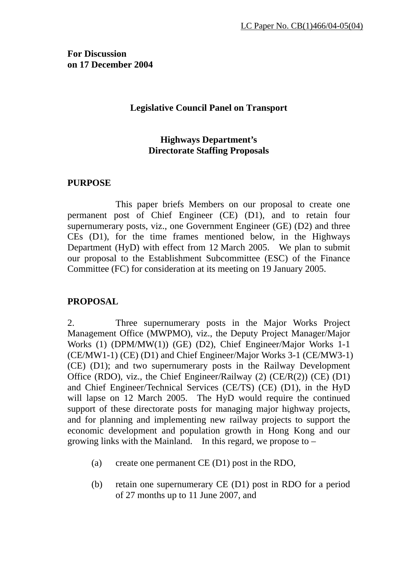**For Discussion on 17 December 2004** 

#### **Legislative Council Panel on Transport**

### **Highways Department's Directorate Staffing Proposals**

#### **PURPOSE**

 This paper briefs Members on our proposal to create one permanent post of Chief Engineer (CE) (D1), and to retain four supernumerary posts, viz., one Government Engineer (GE) (D2) and three CEs (D1), for the time frames mentioned below, in the Highways Department (HyD) with effect from 12 March 2005. We plan to submit our proposal to the Establishment Subcommittee (ESC) of the Finance Committee (FC) for consideration at its meeting on 19 January 2005.

#### **PROPOSAL**

2. Three supernumerary posts in the Major Works Project Management Office (MWPMO), viz., the Deputy Project Manager/Major Works (1) (DPM/MW(1)) (GE) (D2), Chief Engineer/Major Works 1-1 (CE/MW1-1) (CE) (D1) and Chief Engineer/Major Works 3-1 (CE/MW3-1) (CE) (D1); and two supernumerary posts in the Railway Development Office (RDO), viz., the Chief Engineer/Railway (2) (CE/R(2)) (CE) (D1) and Chief Engineer/Technical Services (CE/TS) (CE) (D1), in the HyD will lapse on 12 March 2005. The HyD would require the continued support of these directorate posts for managing major highway projects, and for planning and implementing new railway projects to support the economic development and population growth in Hong Kong and our growing links with the Mainland. In this regard, we propose to –

- (a) create one permanent CE (D1) post in the RDO,
- (b) retain one supernumerary CE (D1) post in RDO for a period of 27 months up to 11 June 2007, and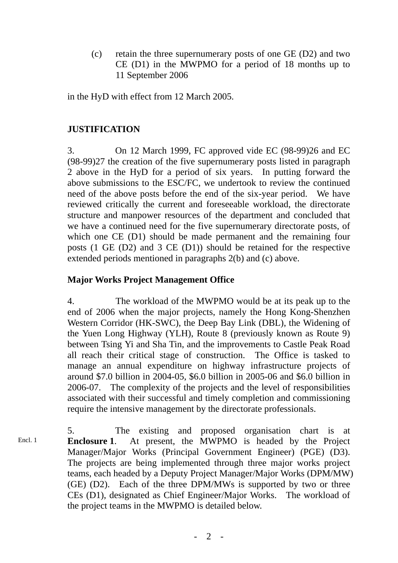(c) retain the three supernumerary posts of one GE (D2) and two CE (D1) in the MWPMO for a period of 18 months up to 11 September 2006

in the HyD with effect from 12 March 2005.

### **JUSTIFICATION**

3. On 12 March 1999, FC approved vide EC (98-99)26 and EC (98-99)27 the creation of the five supernumerary posts listed in paragraph 2 above in the HyD for a period of six years. In putting forward the above submissions to the ESC/FC, we undertook to review the continued need of the above posts before the end of the six-year period. We have reviewed critically the current and foreseeable workload, the directorate structure and manpower resources of the department and concluded that we have a continued need for the five supernumerary directorate posts, of which one CE (D1) should be made permanent and the remaining four posts (1 GE (D2) and 3 CE (D1)) should be retained for the respective extended periods mentioned in paragraphs 2(b) and (c) above.

### **Major Works Project Management Office**

4. The workload of the MWPMO would be at its peak up to the end of 2006 when the major projects, namely the Hong Kong-Shenzhen Western Corridor (HK-SWC), the Deep Bay Link (DBL), the Widening of the Yuen Long Highway (YLH), Route 8 (previously known as Route 9) between Tsing Yi and Sha Tin, and the improvements to Castle Peak Road all reach their critical stage of construction. The Office is tasked to manage an annual expenditure on highway infrastructure projects of around \$7.0 billion in 2004-05, \$6.0 billion in 2005-06 and \$6.0 billion in 2006-07. The complexity of the projects and the level of responsibilities associated with their successful and timely completion and commissioning require the intensive management by the directorate professionals.

5. The existing and proposed organisation chart is at **Enclosure 1**. At present, the MWPMO is headed by the Project Manager/Major Works (Principal Government Engineer) (PGE) (D3). The projects are being implemented through three major works project teams, each headed by a Deputy Project Manager/Major Works (DPM/MW) (GE) (D2). Each of the three DPM/MWs is supported by two or three CEs (D1), designated as Chief Engineer/Major Works. The workload of the project teams in the MWPMO is detailed below. Encl. 1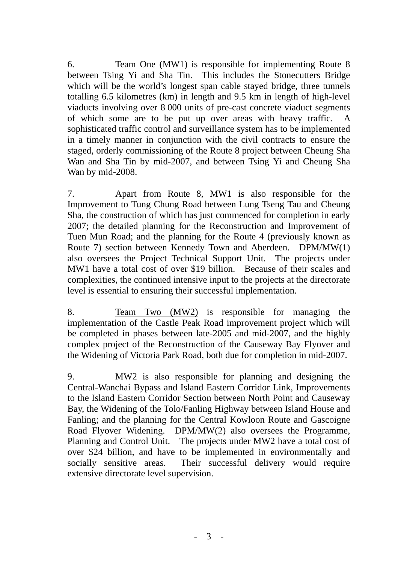6. Team One (MW1) is responsible for implementing Route 8 between Tsing Yi and Sha Tin. This includes the Stonecutters Bridge which will be the world's longest span cable stayed bridge, three tunnels totalling 6.5 kilometres (km) in length and 9.5 km in length of high-level viaducts involving over 8 000 units of pre-cast concrete viaduct segments of which some are to be put up over areas with heavy traffic. sophisticated traffic control and surveillance system has to be implemented in a timely manner in conjunction with the civil contracts to ensure the staged, orderly commissioning of the Route 8 project between Cheung Sha Wan and Sha Tin by mid-2007, and between Tsing Yi and Cheung Sha Wan by mid-2008.

7. Apart from Route 8, MW1 is also responsible for the Improvement to Tung Chung Road between Lung Tseng Tau and Cheung Sha, the construction of which has just commenced for completion in early 2007; the detailed planning for the Reconstruction and Improvement of Tuen Mun Road; and the planning for the Route 4 (previously known as Route 7) section between Kennedy Town and Aberdeen. DPM/MW(1) also oversees the Project Technical Support Unit. The projects under MW1 have a total cost of over \$19 billion. Because of their scales and complexities, the continued intensive input to the projects at the directorate level is essential to ensuring their successful implementation.

8. Team Two (MW2) is responsible for managing the implementation of the Castle Peak Road improvement project which will be completed in phases between late-2005 and mid-2007, and the highly complex project of the Reconstruction of the Causeway Bay Flyover and the Widening of Victoria Park Road, both due for completion in mid-2007.

9. MW2 is also responsible for planning and designing the Central-Wanchai Bypass and Island Eastern Corridor Link, Improvements to the Island Eastern Corridor Section between North Point and Causeway Bay, the Widening of the Tolo/Fanling Highway between Island House and Fanling; and the planning for the Central Kowloon Route and Gascoigne Road Flyover Widening. DPM/MW(2) also oversees the Programme, Planning and Control Unit. The projects under MW2 have a total cost of over \$24 billion, and have to be implemented in environmentally and socially sensitive areas. Their successful delivery would require extensive directorate level supervision.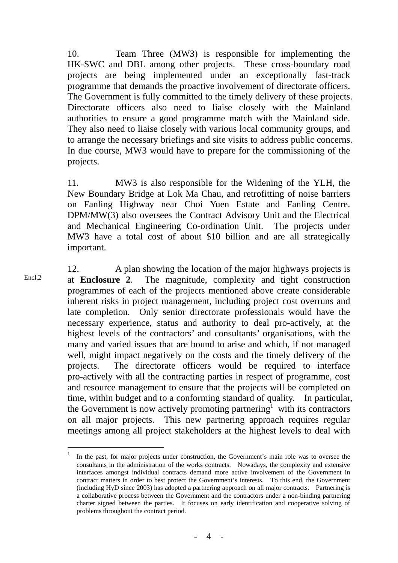10. Team Three (MW3) is responsible for implementing the HK-SWC and DBL among other projects. These cross-boundary road projects are being implemented under an exceptionally fast-track programme that demands the proactive involvement of directorate officers. The Government is fully committed to the timely delivery of these projects. Directorate officers also need to liaise closely with the Mainland authorities to ensure a good programme match with the Mainland side. They also need to liaise closely with various local community groups, and to arrange the necessary briefings and site visits to address public concerns. In due course, MW3 would have to prepare for the commissioning of the projects.

11. MW3 is also responsible for the Widening of the YLH, the New Boundary Bridge at Lok Ma Chau, and retrofitting of noise barriers on Fanling Highway near Choi Yuen Estate and Fanling Centre. DPM/MW(3) also oversees the Contract Advisory Unit and the Electrical and Mechanical Engineering Co-ordination Unit. The projects under MW3 have a total cost of about \$10 billion and are all strategically important.

12. A plan showing the location of the major highways projects is at **Enclosure 2**. The magnitude, complexity and tight construction programmes of each of the projects mentioned above create considerable inherent risks in project management, including project cost overruns and late completion. Only senior directorate professionals would have the necessary experience, status and authority to deal pro-actively, at the highest levels of the contractors' and consultants' organisations, with the many and varied issues that are bound to arise and which, if not managed well, might impact negatively on the costs and the timely delivery of the projects. The directorate officers would be required to interface pro-actively with all the contracting parties in respect of programme, cost and resource management to ensure that the projects will be completed on time, within budget and to a conforming standard of quality. In particular, the Government is now actively promoting partnering<sup>1</sup> with its contractors on all major projects. This new partnering approach requires regular meetings among all project stakeholders at the highest levels to deal with Encl.2

<sup>&</sup>lt;sup>1</sup> In the past, for major projects under construction, the Government's main role was to oversee the consultants in the administration of the works contracts. Nowadays, the complexity and extensive interfaces amongst individual contracts demand more active involvement of the Government in contract matters in order to best protect the Government's interests. To this end, the Government (including HyD since 2003) has adopted a partnering approach on all major contracts. Partnering is a collaborative process between the Government and the contractors under a non-binding partnering charter signed between the parties. It focuses on early identification and cooperative solving of problems throughout the contract period.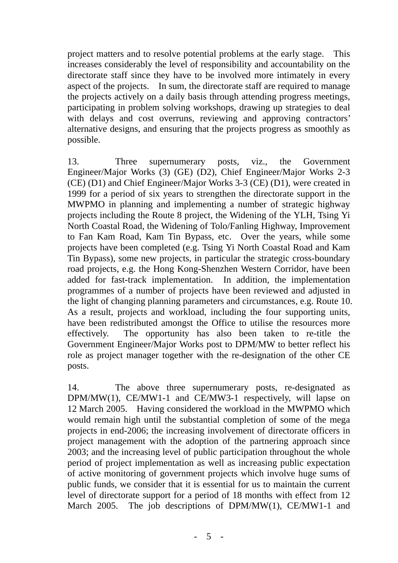project matters and to resolve potential problems at the early stage. This increases considerably the level of responsibility and accountability on the directorate staff since they have to be involved more intimately in every aspect of the projects. In sum, the directorate staff are required to manage the projects actively on a daily basis through attending progress meetings, participating in problem solving workshops, drawing up strategies to deal with delays and cost overruns, reviewing and approving contractors' alternative designs, and ensuring that the projects progress as smoothly as possible.

13. Three supernumerary posts, viz., the Government Engineer/Major Works (3) (GE) (D2), Chief Engineer/Major Works 2-3 (CE) (D1) and Chief Engineer/Major Works 3-3 (CE) (D1), were created in 1999 for a period of six years to strengthen the directorate support in the MWPMO in planning and implementing a number of strategic highway projects including the Route 8 project, the Widening of the YLH, Tsing Yi North Coastal Road, the Widening of Tolo/Fanling Highway, Improvement to Fan Kam Road, Kam Tin Bypass, etc. Over the years, while some projects have been completed (e.g. Tsing Yi North Coastal Road and Kam Tin Bypass), some new projects, in particular the strategic cross-boundary road projects, e.g. the Hong Kong-Shenzhen Western Corridor, have been added for fast-track implementation. In addition, the implementation programmes of a number of projects have been reviewed and adjusted in the light of changing planning parameters and circumstances, e.g. Route 10. As a result, projects and workload, including the four supporting units, have been redistributed amongst the Office to utilise the resources more effectively. The opportunity has also been taken to re-title the Government Engineer/Major Works post to DPM/MW to better reflect his role as project manager together with the re-designation of the other CE posts.

14. The above three supernumerary posts, re-designated as DPM/MW(1), CE/MW1-1 and CE/MW3-1 respectively, will lapse on 12 March 2005. Having considered the workload in the MWPMO which would remain high until the substantial completion of some of the mega projects in end-2006; the increasing involvement of directorate officers in project management with the adoption of the partnering approach since 2003; and the increasing level of public participation throughout the whole period of project implementation as well as increasing public expectation of active monitoring of government projects which involve huge sums of public funds, we consider that it is essential for us to maintain the current level of directorate support for a period of 18 months with effect from 12 March 2005. The job descriptions of DPM/MW(1), CE/MW1-1 and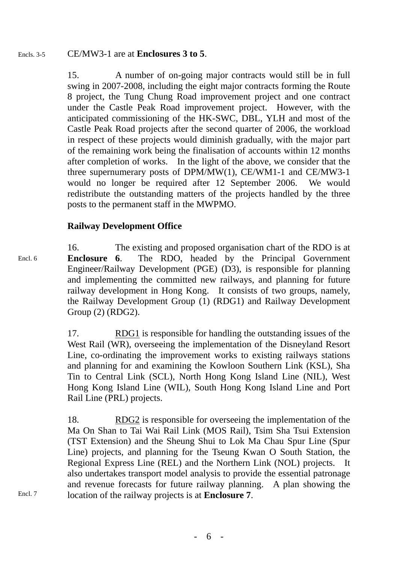#### CE/MW3-1 are at **Enclosures 3 to 5**. Encls. 3-5

15. A number of on-going major contracts would still be in full swing in 2007-2008, including the eight major contracts forming the Route 8 project, the Tung Chung Road improvement project and one contract under the Castle Peak Road improvement project. However, with the anticipated commissioning of the HK-SWC, DBL, YLH and most of the Castle Peak Road projects after the second quarter of 2006, the workload in respect of these projects would diminish gradually, with the major part of the remaining work being the finalisation of accounts within 12 months after completion of works. In the light of the above, we consider that the three supernumerary posts of DPM/MW(1), CE/WM1-1 and CE/MW3-1 would no longer be required after 12 September 2006. We would redistribute the outstanding matters of the projects handled by the three posts to the permanent staff in the MWPMO.

#### **Railway Development Office**

16. The existing and proposed organisation chart of the RDO is at **Enclosure 6**. The RDO, headed by the Principal Government Engineer/Railway Development (PGE) (D3), is responsible for planning and implementing the committed new railways, and planning for future railway development in Hong Kong. It consists of two groups, namely, the Railway Development Group (1) (RDG1) and Railway Development Group (2) (RDG2). Encl. 6

> 17. RDG1 is responsible for handling the outstanding issues of the West Rail (WR), overseeing the implementation of the Disneyland Resort Line, co-ordinating the improvement works to existing railways stations and planning for and examining the Kowloon Southern Link (KSL), Sha Tin to Central Link (SCL), North Hong Kong Island Line (NIL), West Hong Kong Island Line (WIL), South Hong Kong Island Line and Port Rail Line (PRL) projects.

> 18. RDG2 is responsible for overseeing the implementation of the Ma On Shan to Tai Wai Rail Link (MOS Rail), Tsim Sha Tsui Extension (TST Extension) and the Sheung Shui to Lok Ma Chau Spur Line (Spur Line) projects, and planning for the Tseung Kwan O South Station, the Regional Express Line (REL) and the Northern Link (NOL) projects. It also undertakes transport model analysis to provide the essential patronage and revenue forecasts for future railway planning. A plan showing the location of the railway projects is at **Enclosure 7**.

Encl. 7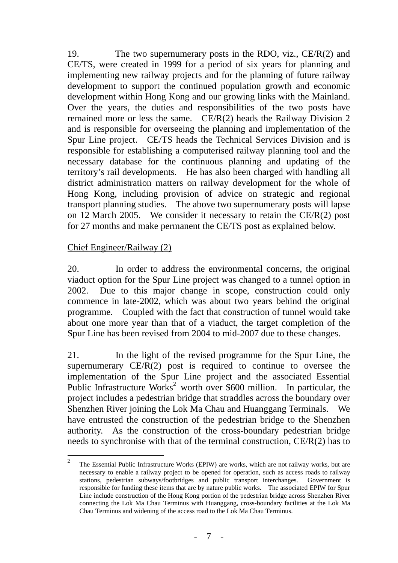19. The two supernumerary posts in the RDO, viz.,  $CE/R(2)$  and CE/TS, were created in 1999 for a period of six years for planning and implementing new railway projects and for the planning of future railway development to support the continued population growth and economic development within Hong Kong and our growing links with the Mainland. Over the years, the duties and responsibilities of the two posts have remained more or less the same. CE/R(2) heads the Railway Division 2 and is responsible for overseeing the planning and implementation of the Spur Line project. CE/TS heads the Technical Services Division and is responsible for establishing a computerised railway planning tool and the necessary database for the continuous planning and updating of the territory's rail developments. He has also been charged with handling all district administration matters on railway development for the whole of Hong Kong, including provision of advice on strategic and regional transport planning studies. The above two supernumerary posts will lapse on 12 March 2005. We consider it necessary to retain the CE/R(2) post for 27 months and make permanent the CE/TS post as explained below.

#### Chief Engineer/Railway (2)

20. In order to address the environmental concerns, the original viaduct option for the Spur Line project was changed to a tunnel option in 2002. Due to this major change in scope, construction could only commence in late-2002, which was about two years behind the original programme. Coupled with the fact that construction of tunnel would take about one more year than that of a viaduct, the target completion of the Spur Line has been revised from 2004 to mid-2007 due to these changes.

21. In the light of the revised programme for the Spur Line, the supernumerary  $CE/R(2)$  post is required to continue to oversee the implementation of the Spur Line project and the associated Essential Public Infrastructure Works<sup>2</sup> worth over \$600 million. In particular, the project includes a pedestrian bridge that straddles across the boundary over Shenzhen River joining the Lok Ma Chau and Huanggang Terminals. We have entrusted the construction of the pedestrian bridge to the Shenzhen authority. As the construction of the cross-boundary pedestrian bridge needs to synchronise with that of the terminal construction, CE/R(2) has to

 $\frac{1}{2}$  The Essential Public Infrastructure Works (EPIW) are works, which are not railway works, but are necessary to enable a railway project to be opened for operation, such as access roads to railway stations, pedestrian subways/footbridges and public transport interchanges. Government is responsible for funding these items that are by nature public works. The associated EPIW for Spur Line include construction of the Hong Kong portion of the pedestrian bridge across Shenzhen River connecting the Lok Ma Chau Terminus with Huanggang, cross-boundary facilities at the Lok Ma Chau Terminus and widening of the access road to the Lok Ma Chau Terminus.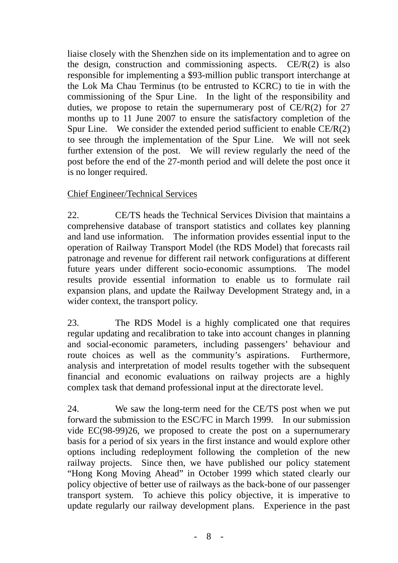liaise closely with the Shenzhen side on its implementation and to agree on the design, construction and commissioning aspects.  $CE/R(2)$  is also responsible for implementing a \$93-million public transport interchange at the Lok Ma Chau Terminus (to be entrusted to KCRC) to tie in with the commissioning of the Spur Line. In the light of the responsibility and duties, we propose to retain the supernumerary post of  $CE/R(2)$  for 27 months up to 11 June 2007 to ensure the satisfactory completion of the Spur Line. We consider the extended period sufficient to enable  $CE/R(2)$ to see through the implementation of the Spur Line. We will not seek further extension of the post. We will review regularly the need of the post before the end of the 27-month period and will delete the post once it is no longer required.

#### Chief Engineer/Technical Services

22. CE/TS heads the Technical Services Division that maintains a comprehensive database of transport statistics and collates key planning and land use information. The information provides essential input to the operation of Railway Transport Model (the RDS Model) that forecasts rail patronage and revenue for different rail network configurations at different future years under different socio-economic assumptions. The model results provide essential information to enable us to formulate rail expansion plans, and update the Railway Development Strategy and, in a wider context, the transport policy.

23. The RDS Model is a highly complicated one that requires regular updating and recalibration to take into account changes in planning and social-economic parameters, including passengers' behaviour and route choices as well as the community's aspirations. Furthermore, analysis and interpretation of model results together with the subsequent financial and economic evaluations on railway projects are a highly complex task that demand professional input at the directorate level.

24. We saw the long-term need for the CE/TS post when we put forward the submission to the ESC/FC in March 1999. In our submission vide EC(98-99)26, we proposed to create the post on a supernumerary basis for a period of six years in the first instance and would explore other options including redeployment following the completion of the new railway projects. Since then, we have published our policy statement "Hong Kong Moving Ahead" in October 1999 which stated clearly our policy objective of better use of railways as the back-bone of our passenger transport system. To achieve this policy objective, it is imperative to update regularly our railway development plans. Experience in the past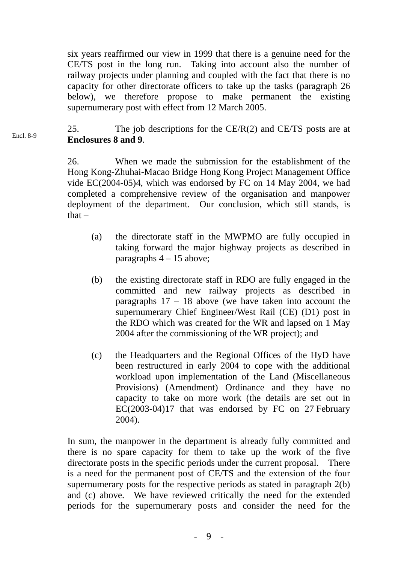six years reaffirmed our view in 1999 that there is a genuine need for the CE/TS post in the long run. Taking into account also the number of railway projects under planning and coupled with the fact that there is no capacity for other directorate officers to take up the tasks (paragraph 26 below), we therefore propose to make permanent the existing supernumerary post with effect from 12 March 2005.

25. The job descriptions for the  $CE/R(2)$  and  $CE/TS$  posts are at **Enclosures 8 and 9**. Encl. 8-9

> 26. When we made the submission for the establishment of the Hong Kong-Zhuhai-Macao Bridge Hong Kong Project Management Office vide EC(2004-05)4, which was endorsed by FC on 14 May 2004, we had completed a comprehensive review of the organisation and manpower deployment of the department. Our conclusion, which still stands, is  $that -$

- (a) the directorate staff in the MWPMO are fully occupied in taking forward the major highway projects as described in paragraphs  $4 - 15$  above;
- (b) the existing directorate staff in RDO are fully engaged in the committed and new railway projects as described in paragraphs  $17 - 18$  above (we have taken into account the supernumerary Chief Engineer/West Rail (CE) (D1) post in the RDO which was created for the WR and lapsed on 1 May 2004 after the commissioning of the WR project); and
- (c) the Headquarters and the Regional Offices of the HyD have been restructured in early 2004 to cope with the additional workload upon implementation of the Land (Miscellaneous Provisions) (Amendment) Ordinance and they have no capacity to take on more work (the details are set out in EC(2003-04)17 that was endorsed by FC on 27 February 2004).

In sum, the manpower in the department is already fully committed and there is no spare capacity for them to take up the work of the five directorate posts in the specific periods under the current proposal. There is a need for the permanent post of CE/TS and the extension of the four supernumerary posts for the respective periods as stated in paragraph 2(b) and (c) above. We have reviewed critically the need for the extended periods for the supernumerary posts and consider the need for the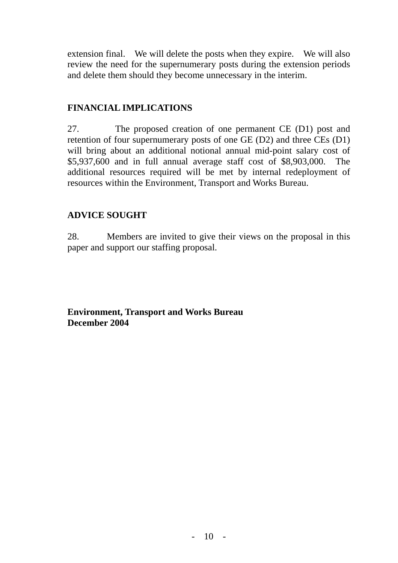extension final. We will delete the posts when they expire. We will also review the need for the supernumerary posts during the extension periods and delete them should they become unnecessary in the interim.

#### **FINANCIAL IMPLICATIONS**

27. The proposed creation of one permanent CE (D1) post and retention of four supernumerary posts of one GE (D2) and three CEs (D1) will bring about an additional notional annual mid-point salary cost of \$5,937,600 and in full annual average staff cost of \$8,903,000. The additional resources required will be met by internal redeployment of resources within the Environment, Transport and Works Bureau.

# **ADVICE SOUGHT**

28. Members are invited to give their views on the proposal in this paper and support our staffing proposal.

**Environment, Transport and Works Bureau December 2004**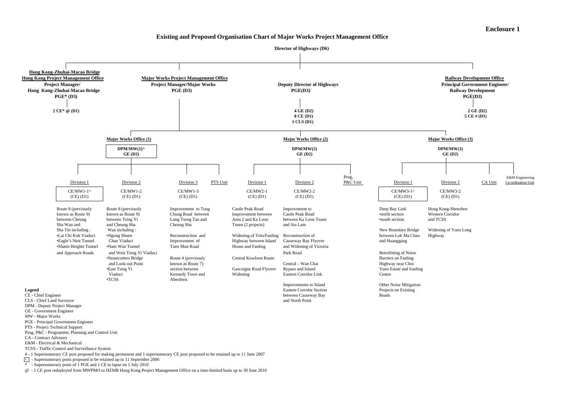#### **Existing and Proposed Organisation Chart of Major Works Project Management Office**

 **Director of Highways (D6)**



@ - 1 CE post redeployed from MWPMO to HZMB Hong Kong Project Management Office on a time-limited basis up to 30 June 2010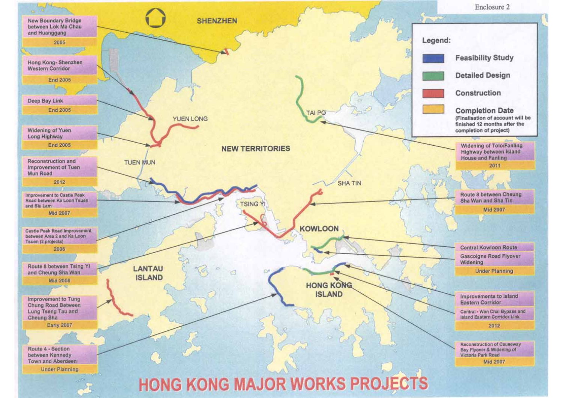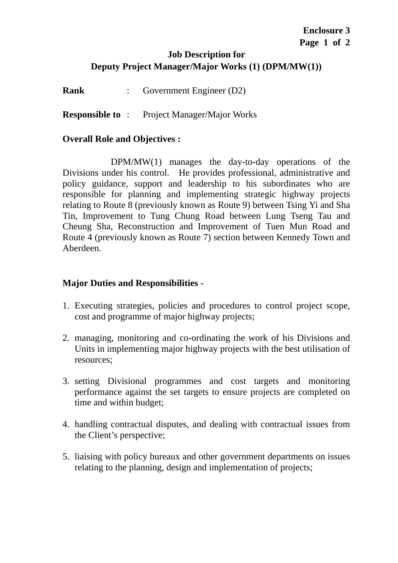#### **Job Description for Deputy Project Manager/Major Works (1) (DPM/MW(1))**

**Rank** : Government Engineer (D2)

**Responsible to** : Project Manager/Major Works

#### **Overall Role and Objectives :**

 DPM/MW(1) manages the day-to-day operations of the Divisions under his control. He provides professional, administrative and policy guidance, support and leadership to his subordinates who are responsible for planning and implementing strategic highway projects relating to Route 8 (previously known as Route 9) between Tsing Yi and Sha Tin, Improvement to Tung Chung Road between Lung Tseng Tau and Cheung Sha, Reconstruction and Improvement of Tuen Mun Road and Route 4 (previously known as Route 7) section between Kennedy Town and Aberdeen.

- 1. Executing strategies, policies and procedures to control project scope, cost and programme of major highway projects;
- 2. managing, monitoring and co-ordinating the work of his Divisions and Units in implementing major highway projects with the best utilisation of resources;
- 3. setting Divisional programmes and cost targets and monitoring performance against the set targets to ensure projects are completed on time and within budget;
- 4. handling contractual disputes, and dealing with contractual issues from the Client's perspective;
- 5. liaising with policy bureaux and other government departments on issues relating to the planning, design and implementation of projects;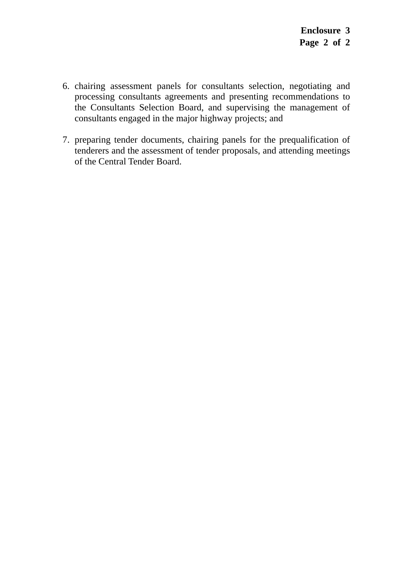- 6. chairing assessment panels for consultants selection, negotiating and processing consultants agreements and presenting recommendations to the Consultants Selection Board, and supervising the management of consultants engaged in the major highway projects; and
- 7. preparing tender documents, chairing panels for the prequalification of tenderers and the assessment of tender proposals, and attending meetings of the Central Tender Board.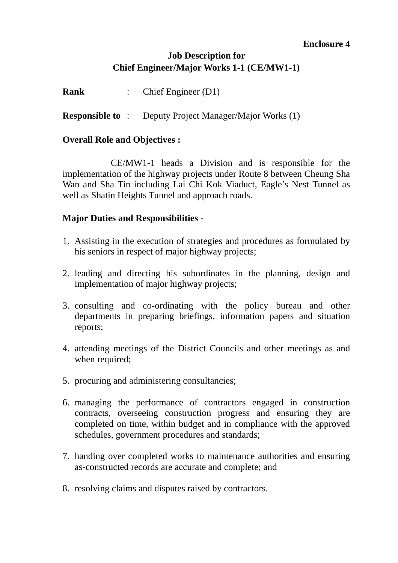#### **Enclosure 4**

## **Job Description for Chief Engineer/Major Works 1-1 (CE/MW1-1)**

**Rank** : Chief Engineer (D1) **Responsible to** : Deputy Project Manager/Major Works (1)

#### **Overall Role and Objectives :**

 CE/MW1-1 heads a Division and is responsible for the implementation of the highway projects under Route 8 between Cheung Sha Wan and Sha Tin including Lai Chi Kok Viaduct, Eagle's Nest Tunnel as well as Shatin Heights Tunnel and approach roads.

- 1. Assisting in the execution of strategies and procedures as formulated by his seniors in respect of major highway projects;
- 2. leading and directing his subordinates in the planning, design and implementation of major highway projects;
- 3. consulting and co-ordinating with the policy bureau and other departments in preparing briefings, information papers and situation reports;
- 4. attending meetings of the District Councils and other meetings as and when required;
- 5. procuring and administering consultancies;
- 6. managing the performance of contractors engaged in construction contracts, overseeing construction progress and ensuring they are completed on time, within budget and in compliance with the approved schedules, government procedures and standards;
- 7. handing over completed works to maintenance authorities and ensuring as-constructed records are accurate and complete; and
- 8. resolving claims and disputes raised by contractors.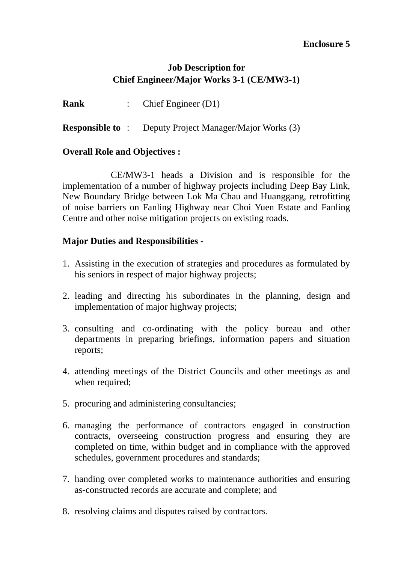#### **Enclosure 5**

## **Job Description for Chief Engineer/Major Works 3-1 (CE/MW3-1)**

**Rank** : Chief Engineer (D1)

**Responsible to** : Deputy Project Manager/Major Works (3)

#### **Overall Role and Objectives :**

 CE/MW3-1 heads a Division and is responsible for the implementation of a number of highway projects including Deep Bay Link, New Boundary Bridge between Lok Ma Chau and Huanggang, retrofitting of noise barriers on Fanling Highway near Choi Yuen Estate and Fanling Centre and other noise mitigation projects on existing roads.

- 1. Assisting in the execution of strategies and procedures as formulated by his seniors in respect of major highway projects;
- 2. leading and directing his subordinates in the planning, design and implementation of major highway projects;
- 3. consulting and co-ordinating with the policy bureau and other departments in preparing briefings, information papers and situation reports;
- 4. attending meetings of the District Councils and other meetings as and when required;
- 5. procuring and administering consultancies;
- 6. managing the performance of contractors engaged in construction contracts, overseeing construction progress and ensuring they are completed on time, within budget and in compliance with the approved schedules, government procedures and standards;
- 7. handing over completed works to maintenance authorities and ensuring as-constructed records are accurate and complete; and
- 8. resolving claims and disputes raised by contractors.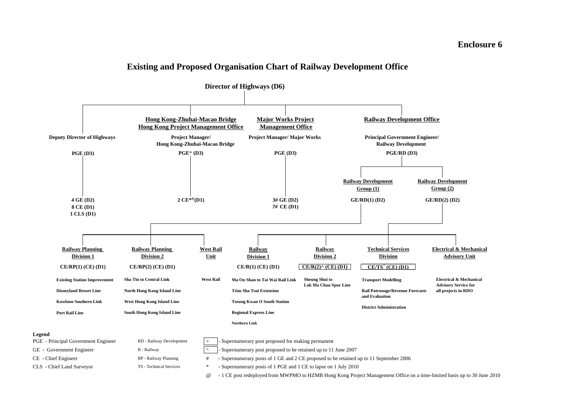#### **Enclosure 6**

#### **Existing and Proposed Organisation Chart of Railway Development Office**

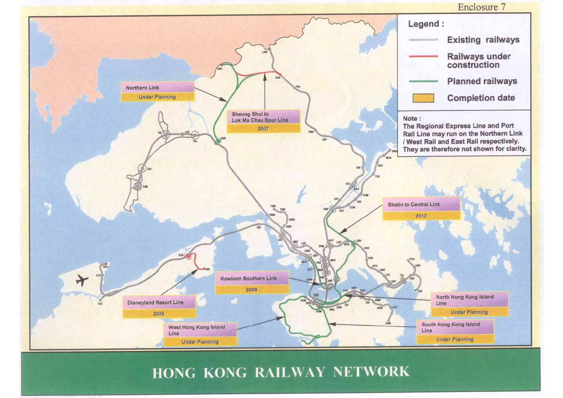

# HONG KONG RAILWAY NETWORK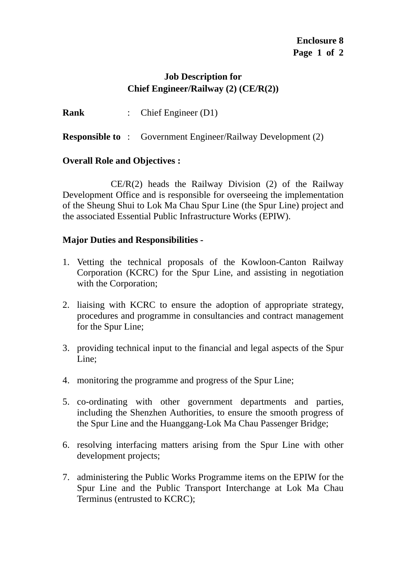### **Job Description for Chief Engineer/Railway (2) (CE/R(2))**

**Rank** : Chief Engineer (D1)

**Responsible to** : Government Engineer/Railway Development (2)

## **Overall Role and Objectives :**

 $CE/R(2)$  heads the Railway Division (2) of the Railway Development Office and is responsible for overseeing the implementation of the Sheung Shui to Lok Ma Chau Spur Line (the Spur Line) project and the associated Essential Public Infrastructure Works (EPIW).

- 1. Vetting the technical proposals of the Kowloon-Canton Railway Corporation (KCRC) for the Spur Line, and assisting in negotiation with the Corporation;
- 2. liaising with KCRC to ensure the adoption of appropriate strategy, procedures and programme in consultancies and contract management for the Spur Line;
- 3. providing technical input to the financial and legal aspects of the Spur Line;
- 4. monitoring the programme and progress of the Spur Line;
- 5. co-ordinating with other government departments and parties, including the Shenzhen Authorities, to ensure the smooth progress of the Spur Line and the Huanggang-Lok Ma Chau Passenger Bridge;
- 6. resolving interfacing matters arising from the Spur Line with other development projects;
- 7. administering the Public Works Programme items on the EPIW for the Spur Line and the Public Transport Interchange at Lok Ma Chau Terminus (entrusted to KCRC);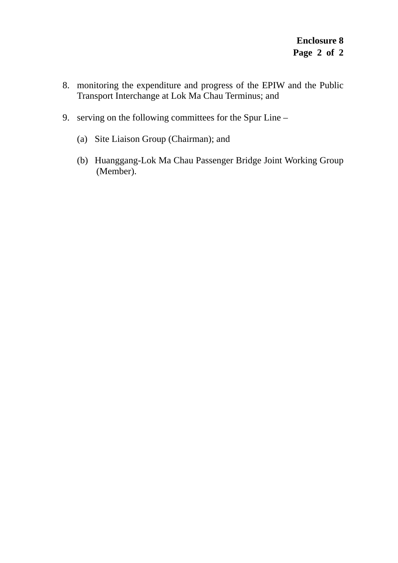- 8. monitoring the expenditure and progress of the EPIW and the Public Transport Interchange at Lok Ma Chau Terminus; and
- 9. serving on the following committees for the Spur Line
	- (a) Site Liaison Group (Chairman); and
	- (b) Huanggang-Lok Ma Chau Passenger Bridge Joint Working Group (Member).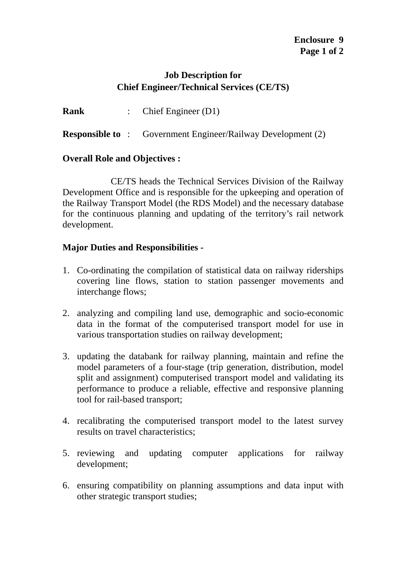### **Job Description for Chief Engineer/Technical Services (CE/TS)**

**Rank** : Chief Engineer (D1)

**Responsible to** : Government Engineer/Railway Development (2)

#### **Overall Role and Objectives :**

 CE/TS heads the Technical Services Division of the Railway Development Office and is responsible for the upkeeping and operation of the Railway Transport Model (the RDS Model) and the necessary database for the continuous planning and updating of the territory's rail network development.

- 1. Co-ordinating the compilation of statistical data on railway riderships covering line flows, station to station passenger movements and interchange flows;
- 2. analyzing and compiling land use, demographic and socio-economic data in the format of the computerised transport model for use in various transportation studies on railway development;
- 3. updating the databank for railway planning, maintain and refine the model parameters of a four-stage (trip generation, distribution, model split and assignment) computerised transport model and validating its performance to produce a reliable, effective and responsive planning tool for rail-based transport;
- 4. recalibrating the computerised transport model to the latest survey results on travel characteristics;
- 5. reviewing and updating computer applications for railway development;
- 6. ensuring compatibility on planning assumptions and data input with other strategic transport studies;